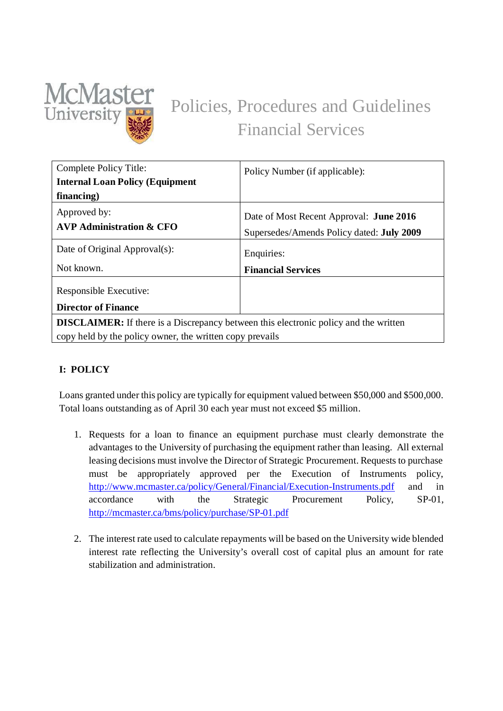

# Policies, Procedures and Guidelines Financial Services

| Complete Policy Title:                                                                      | Policy Number (if applicable):                                                              |  |  |
|---------------------------------------------------------------------------------------------|---------------------------------------------------------------------------------------------|--|--|
| <b>Internal Loan Policy (Equipment</b>                                                      |                                                                                             |  |  |
| financing)                                                                                  |                                                                                             |  |  |
| Approved by:<br><b>AVP Administration &amp; CFO</b>                                         | Date of Most Recent Approval: <b>June 2016</b><br>Supersedes/Amends Policy dated: July 2009 |  |  |
| Date of Original Approval(s):                                                               | Enquiries:                                                                                  |  |  |
| Not known.                                                                                  | <b>Financial Services</b>                                                                   |  |  |
| Responsible Executive:<br><b>Director of Finance</b>                                        |                                                                                             |  |  |
| <b>DISCLAIMER:</b> If there is a Discrepancy between this electronic policy and the written |                                                                                             |  |  |
| copy held by the policy owner, the written copy prevails                                    |                                                                                             |  |  |

## **I: POLICY**

Loans granted under this policy are typically for equipment valued between \$50,000 and \$500,000. Total loans outstanding as of April 30 each year must not exceed \$5 million.

- 1. Requests for a loan to finance an equipment purchase must clearly demonstrate the advantages to the University of purchasing the equipment rather than leasing. All external leasing decisions must involve the Director of Strategic Procurement. Requests to purchase must be appropriately approved per the Execution of Instruments policy, http://www.mcmaster.ca/policy/General/Financial/Execution-Instruments.pdf and in accordance with the Strategic Procurement Policy, SP-01, http://mcmaster.ca/bms/policy/purchase/SP-01.pdf
- 2. The interest rate used to calculate repayments will be based on the University wide blended interest rate reflecting the University's overall cost of capital plus an amount for rate stabilization and administration.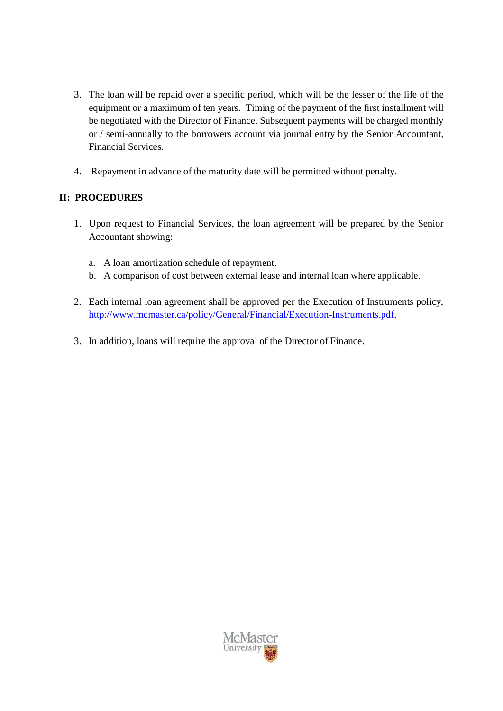- 3. The loan will be repaid over a specific period, which will be the lesser of the life of the equipment or a maximum of ten years. Timing of the payment of the first installment will be negotiated with the Director of Finance. Subsequent payments will be charged monthly or / semi-annually to the borrowers account via journal entry by the Senior Accountant, Financial Services.
- 4. Repayment in advance of the maturity date will be permitted without penalty.

## **II: PROCEDURES**

- 1. Upon request to Financial Services, the loan agreement will be prepared by the Senior Accountant showing:
	- a. A loan amortization schedule of repayment.
	- b. A comparison of cost between external lease and internal loan where applicable.
- 2. Each internal loan agreement shall be approved per the Execution of Instruments policy, http://www.mcmaster.ca/policy/General/Financial/Execution-Instruments.pdf.
- 3. In addition, loans will require the approval of the Director of Finance.

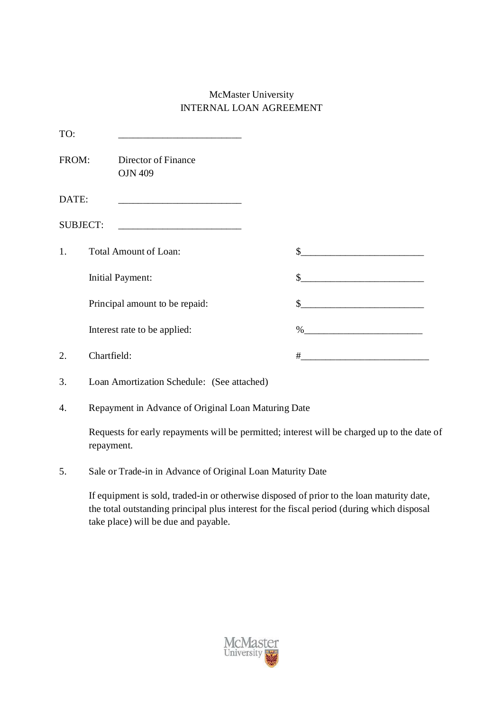## McMaster University INTERNAL LOAN AGREEMENT

| TO:             |                                                                                                                       |    |                                                        |
|-----------------|-----------------------------------------------------------------------------------------------------------------------|----|--------------------------------------------------------|
| FROM:           | Director of Finance<br><b>OJN 409</b>                                                                                 |    |                                                        |
| DATE:           | <u> 1990 - Johann Barn, mars ann an t-Amhain Aonaich an t-Aonaich an t-Aonaich an t-Aonaich an t-Aonaich an t-Aon</u> |    |                                                        |
| <b>SUBJECT:</b> |                                                                                                                       |    |                                                        |
| 1.              | <b>Total Amount of Loan:</b>                                                                                          | \$ |                                                        |
|                 | <b>Initial Payment:</b>                                                                                               | \$ | <u> 1989 - Jan Barnett, fransk politiker (d. 1989)</u> |
|                 | Principal amount to be repaid:                                                                                        | \$ |                                                        |
|                 | Interest rate to be applied:                                                                                          |    |                                                        |
| 2.              | Chartfield:                                                                                                           | #  |                                                        |
| 3.              | Loan Amortization Schedule: (See attached)                                                                            |    |                                                        |

4. Repayment in Advance of Original Loan Maturing Date

Requests for early repayments will be permitted; interest will be charged up to the date of repayment.

5. Sale or Trade-in in Advance of Original Loan Maturity Date

If equipment is sold, traded-in or otherwise disposed of prior to the loan maturity date, the total outstanding principal plus interest for the fiscal period (during which disposal take place) will be due and payable.